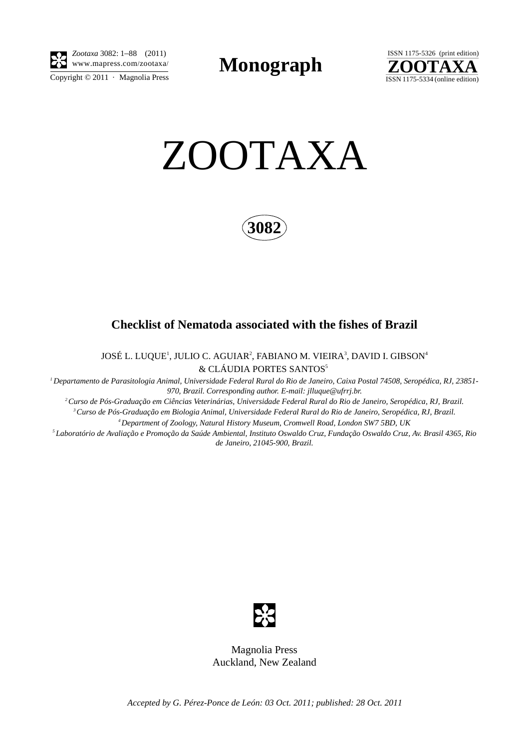

*Zootaxa* 3082: 1–88 (2011)

Copyright  $\odot$  2011 · Magnolia Press

**Monograph** 





**3082**

## **Checklist of Nematoda associated with the fishes of Brazil**

JOSÉ L. LUQUE', JULIO C. AGUIAR<sup>2</sup>, FABIANO M. VIEIRA<sup>3</sup>, DAVID I. GIBSON<sup>4</sup> & CLÁUDIA PORTES SANTOS<sup>5</sup>

*1 Departamento de Parasitologia Animal, Universidade Federal Rural do Rio de Janeiro, Caixa Postal 74508, Seropédica, RJ, 23851- 970, Brazil. Corresponding author. E-mail: jlluque@ufrrj.br.*

*2 Curso de Pós-Graduação em Ciências Veterinárias, Universidade Federal Rural do Rio de Janeiro, Seropédica, RJ, Brazil. 3 Curso de Pós-Graduação em Biologia Animal, Universidade Federal Rural do Rio de Janeiro, Seropédica, RJ, Brazil.*

*4 Department of Zoology, Natural History Museum, Cromwell Road, London SW7 5BD, UK*

*5 Laboratório de Avaliação e Promoção da Saúde Ambiental, Instituto Oswaldo Cruz, Fundação Oswaldo Cruz, Av. Brasil 4365, Rio de Janeiro, 21045-900, Brazil.*



Magnolia Press Auckland, New Zealand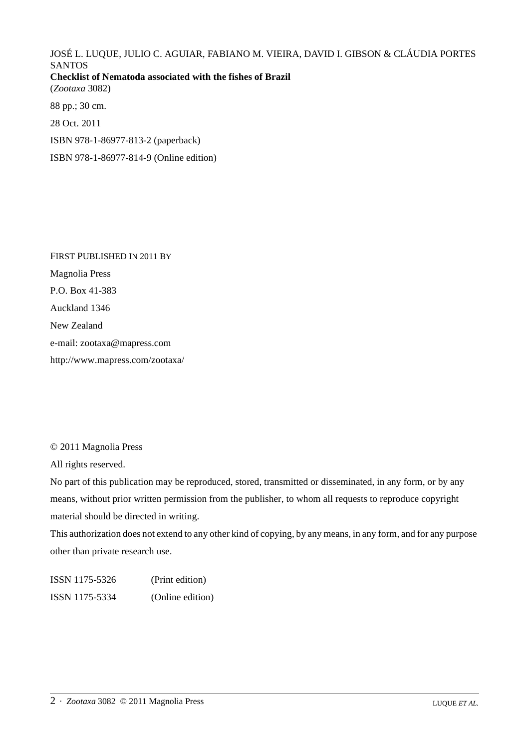JOSÉ L. LUQUE, JULIO C. AGUIAR, FABIANO M. VIEIRA, DAVID I. GIBSON & CLÁUDIA PORTES SANTOS **Checklist of Nematoda associated with the fishes of Brazil** (*Zootaxa* 3082)

88 pp.; 30 cm.

28 Oct. 2011

ISBN 978-1-86977-813-2 (paperback)

ISBN 978-1-86977-814-9 (Online edition)

FIRST PUBLISHED IN 2011 BY Magnolia Press P.O. Box 41-383 Auckland 1346 New Zealand e-mail: zootaxa@mapress.com http://www.mapress.com/zootaxa/

© 2011 Magnolia Press

All rights reserved.

No part of this publication may be reproduced, stored, transmitted or disseminated, in any form, or by any means, without prior written permission from the publisher, to whom all requests to reproduce copyright material should be directed in writing.

This authorization does not extend to any other kind of copying, by any means, in any form, and for any purpose other than private research use.

ISSN 1175-5326 (Print edition) ISSN 1175-5334 (Online edition)